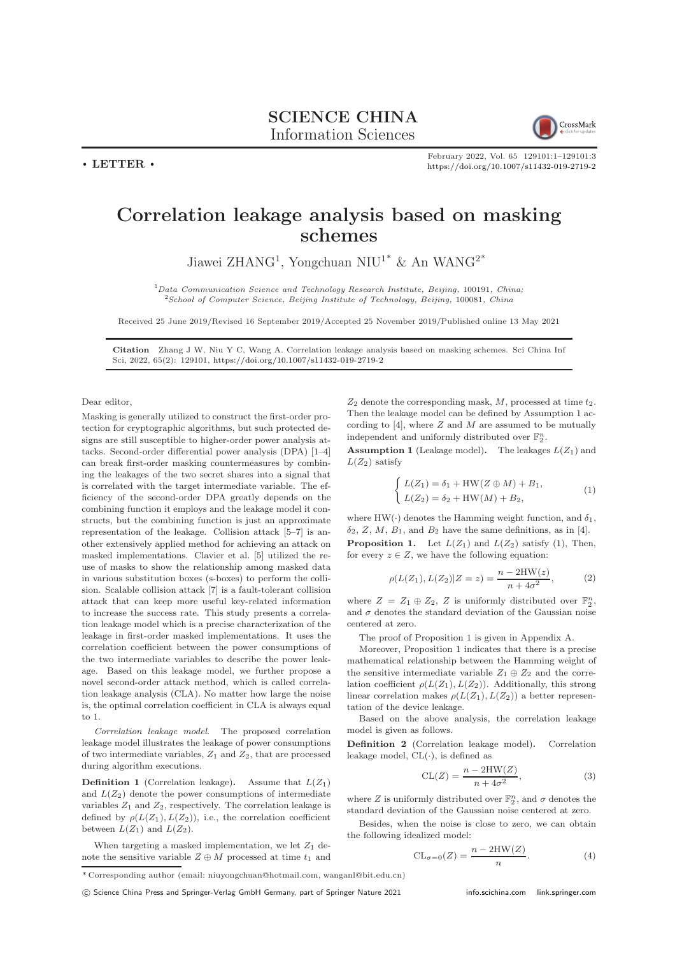

February 2022, Vol. 65 129101:1–129101[:3](#page-2-0) <https://doi.org/10.1007/s11432-019-2719-2>

## Correlation leakage analysis based on masking schemes

Jiawei ZHANG<sup>1</sup>, Yongchuan NIU<sup>1\*</sup> & An WANG<sup>2\*</sup>

 $1$ Data Communication Science and Technology Research Institute, Beijing, 100191, China; <sup>2</sup>School of Computer Science, Beijing Institute of Technology, Beijing, 100081, China

Received 25 June 2019/Revised 16 September 2019/Accepted 25 November 2019/Published online 13 May 2021

Citation Zhang J W, Niu Y C, Wang A. Correlation leakage analysis based on masking schemes. Sci China Inf Sci, 2022, 65(2): 129101, <https://doi.org/10.1007/s11432-019-2719-2>

Dear editor,

 $\cdot$  LETTER  $\cdot$ 

Masking is generally utilized to construct the first-order protection for cryptographic algorithms, but such protected designs are still susceptible to higher-order power analysis attacks. Second-order differential power analysis (DPA) [\[1](#page-2-1)[–4\]](#page-2-2) can break first-order masking countermeasures by combining the leakages of the two secret shares into a signal that is correlated with the target intermediate variable. The efficiency of the second-order DPA greatly depends on the combining function it employs and the leakage model it constructs, but the combining function is just an approximate representation of the leakage. Collision attack [\[5–](#page-2-3)[7\]](#page-2-4) is another extensively applied method for achieving an attack on masked implementations. Clavier et al. [\[5\]](#page-2-3) utilized the reuse of masks to show the relationship among masked data in various substitution boxes (s-boxes) to perform the collision. Scalable collision attack [\[7\]](#page-2-4) is a fault-tolerant collision attack that can keep more useful key-related information to increase the success rate. This study presents a correlation leakage model which is a precise characterization of the leakage in first-order masked implementations. It uses the correlation coefficient between the power consumptions of the two intermediate variables to describe the power leakage. Based on this leakage model, we further propose a novel second-order attack method, which is called correlation leakage analysis (CLA). No matter how large the noise is, the optimal correlation coefficient in CLA is always equal to 1.

Correlation leakage model. The proposed correlation leakage model illustrates the leakage of power consumptions of two intermediate variables,  $Z_1$  and  $Z_2$ , that are processed during algorithm executions.

**Definition 1** (Correlation leakage). Assume that  $L(Z_1)$ and  $L(Z_2)$  denote the power consumptions of intermediate variables  $Z_1$  and  $Z_2$ , respectively. The correlation leakage is defined by  $\rho(L(Z_1), L(Z_2))$ , i.e., the correlation coefficient between  $L(Z_1)$  and  $L(Z_2)$ .

When targeting a masked implementation, we let  $Z_1$  denote the sensitive variable  $Z \oplus M$  processed at time  $t_1$  and  $Z_2$  denote the corresponding mask,  $M$ , processed at time  $t_2$ . Then the leakage model can be defined by Assumption 1 according to  $[4]$ , where  $Z$  and  $M$  are assumed to be mutually independent and uniformly distributed over  $\mathbb{F}_2^n$ .

<span id="page-0-2"></span>**Assumption 1** (Leakage model). The leakages  $L(Z_1)$  and  $L(Z_2)$  satisfy

<span id="page-0-0"></span>
$$
\begin{cases}\nL(Z_1) = \delta_1 + HW(Z \oplus M) + B_1, \\
L(Z_2) = \delta_2 + HW(M) + B_2,\n\end{cases} (1)
$$

<span id="page-0-1"></span>where  $HW(\cdot)$  denotes the Hamming weight function, and  $\delta_1$ ,  $\delta_2$ , Z, M, B<sub>1</sub>, and B<sub>2</sub> have the same definitions, as in [\[4\]](#page-2-2). **Proposition 1.** Let  $L(Z_1)$  and  $L(Z_2)$  satisfy [\(1\)](#page-0-0), Then, for every  $z \in Z$ , we have the following equation:

$$
\rho(L(Z_1), L(Z_2)|Z = z) = \frac{n - 2HW(z)}{n + 4\sigma^2},
$$
 (2)

where  $Z = Z_1 \oplus Z_2$ , Z is uniformly distributed over  $\mathbb{F}_2^n$ , and  $\sigma$  denotes the standard deviation of the Gaussian noise centered at zero.

The proof of Proposition 1 is given in Appendix A.

Moreover, Proposition [1](#page-0-1) indicates that there is a precise mathematical relationship between the Hamming weight of the sensitive intermediate variable  $Z_1 \oplus Z_2$  and the correlation coefficient  $\rho(L(Z_1), L(Z_2))$ . Additionally, this strong linear correlation makes  $\rho(L(Z_1), L(Z_2))$  a better representation of the device leakage.

Based on the above analysis, the correlation leakage model is given as follows.

Definition 2 (Correlation leakage model). Correlation leakage model,  $CL(\cdot)$ , is defined as

$$
CL(Z) = \frac{n - 2HW(Z)}{n + 4\sigma^2},\tag{3}
$$

where  $Z$  is uniformly distributed over  $\mathbb{F}_2^n,$  and  $\sigma$  denotes the standard deviation of the Gaussian noise centered at zero.

Besides, when the noise is close to zero, we can obtain the following idealized model:

<span id="page-0-3"></span>
$$
CL_{\sigma=0}(Z) = \frac{n - 2HW(Z)}{n}.
$$
 (4)

<sup>\*</sup> Corresponding author (email: niuyongchuan@hotmail.com, wanganl@bit.edu.cn)

c Science China Press and Springer-Verlag GmbH Germany, part of Springer Nature 2021 <info.scichina.com><link.springer.com>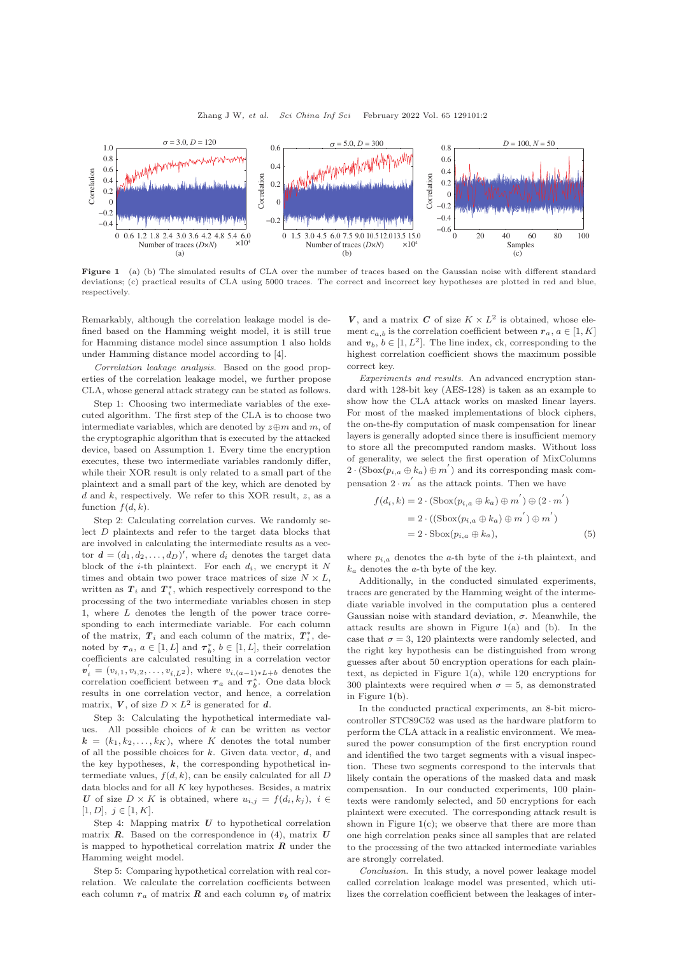<span id="page-1-0"></span>

Figure 1 (a) (b) The simulated results of CLA over the number of traces based on the Gaussian noise with different standard deviations; (c) practical results of CLA using 5000 traces. The correct and incorrect key hypotheses are plotted in red and blue, respectively.

Remarkably, although the correlation leakage model is defined based on the Hamming weight model, it is still true for Hamming distance model since assumption [1](#page-0-2) also holds under Hamming distance model according to [\[4\]](#page-2-2).

Correlation leakage analysis. Based on the good properties of the correlation leakage model, we further propose CLA, whose general attack strategy can be stated as follows.

Step 1: Choosing two intermediate variables of the executed algorithm. The first step of the CLA is to choose two intermediate variables, which are denoted by  $z \oplus m$  and m, of the cryptographic algorithm that is executed by the attacked device, based on Assumption [1.](#page-0-2) Every time the encryption executes, these two intermediate variables randomly differ, while their XOR result is only related to a small part of the plaintext and a small part of the key, which are denoted by  $d$  and  $k$ , respectively. We refer to this XOR result,  $z$ , as a function  $f(d, k)$ .

Step 2: Calculating correlation curves. We randomly select D plaintexts and refer to the target data blocks that are involved in calculating the intermediate results as a vector  $\mathbf{d} = (d_1, d_2, \dots, d_D)$ , where  $d_i$  denotes the target data block of the *i*-th plaintext. For each  $d_i$ , we encrypt it N times and obtain two power trace matrices of size  $N \times L$ , written as  $T_i$  and  $T_i^*$ , which respectively correspond to the processing of the two intermediate variables chosen in step 1, where L denotes the length of the power trace corresponding to each intermediate variable. For each column of the matrix,  $T_i$  and each column of the matrix,  $T_i^*$ , denoted by  $\tau_a$ ,  $a \in [1, L]$  and  $\tau_b^*$ ,  $b \in [1, L]$ , their correlation coefficients are calculated resulting in a correlation vector  $v'_i = (v_{i,1}, v_{i,2}, \dots, v_{i,L^2})$ , where  $v_{i,(a-1)*L+b}$  denotes the correlation coefficient between  $\tau_a$  and  $\tau_b^*$ . One data block results in one correlation vector, and hence, a correlation matrix,  $V$ , of size  $D \times L^2$  is generated for d.

Step 3: Calculating the hypothetical intermediate values. All possible choices of  $k$  can be written as vector  $k = (k_1, k_2, \ldots, k_K)$ , where K denotes the total number of all the possible choices for  $k$ . Given data vector,  $d$ , and the key hypotheses,  $k$ , the corresponding hypothetical intermediate values,  $f(d, k)$ , can be easily calculated for all  $D$ data blocks and for all  $K$  key hypotheses. Besides, a matrix U of size  $D \times K$  is obtained, where  $u_{i,j} = f(d_i, k_j), i \in$  $[1, D], j \in [1, K].$ 

Step 4: Mapping matrix  $U$  to hypothetical correlation matrix  $\mathbf{R}$ . Based on the correspondence in [\(4\)](#page-0-3), matrix  $\mathbf{U}$ is mapped to hypothetical correlation matrix  $R$  under the Hamming weight model.

Step 5: Comparing hypothetical correlation with real correlation. We calculate the correlation coefficients between each column  $r_a$  of matrix  $R$  and each column  $v_b$  of matrix

V, and a matrix C of size  $K \times L^2$  is obtained, whose element  $c_{a,b}$  is the correlation coefficient between  $r_a, a \in [1, K]$ and  $v_b, b \in [1, L^2]$ . The line index, ck, corresponding to the highest correlation coefficient shows the maximum possible correct key.

Experiments and results. An advanced encryption standard with 128-bit key (AES-128) is taken as an example to show how the CLA attack works on masked linear layers. For most of the masked implementations of block ciphers, the on-the-fly computation of mask compensation for linear layers is generally adopted since there is insufficient memory to store all the precomputed random masks. Without loss of generality, we select the first operation of MixColumns 2 ·  $(\text{Sbox}(p_{i,a} \oplus k_a) \oplus m')$  and its corresponding mask compensation  $2 \cdot m'$  as the attack points. Then we have

$$
f(d_i, k) = 2 \cdot (\text{Sbox}(p_{i,a} \oplus k_a) \oplus m') \oplus (2 \cdot m')
$$
  
= 2 \cdot ((\text{Sbox}(p\_{i,a} \oplus k\_a) \oplus m') \oplus m')  
= 2 \cdot \text{Sbox}(p\_{i,a} \oplus k\_a), (5)

where  $p_{i,a}$  denotes the a-th byte of the *i*-th plaintext, and  $k_a$  denotes the a-th byte of the key.

Additionally, in the conducted simulated experiments, traces are generated by the Hamming weight of the intermediate variable involved in the computation plus a centered Gaussian noise with standard deviation,  $\sigma$ . Meanwhile, the attack results are shown in Figure [1\(](#page-1-0)a) and (b). In the case that  $\sigma = 3$ , 120 plaintexts were randomly selected, and the right key hypothesis can be distinguished from wrong guesses after about 50 encryption operations for each plaintext, as depicted in Figure [1\(](#page-1-0)a), while 120 encryptions for 300 plaintexts were required when  $\sigma = 5$ , as demonstrated in Figure [1\(](#page-1-0)b).

In the conducted practical experiments, an 8-bit microcontroller STC89C52 was used as the hardware platform to perform the CLA attack in a realistic environment. We measured the power consumption of the first encryption round and identified the two target segments with a visual inspection. These two segments correspond to the intervals that likely contain the operations of the masked data and mask compensation. In our conducted experiments, 100 plaintexts were randomly selected, and 50 encryptions for each plaintext were executed. The corresponding attack result is shown in Figure  $1(c)$  $1(c)$ ; we observe that there are more than one high correlation peaks since all samples that are related to the processing of the two attacked intermediate variables are strongly correlated.

Conclusion. In this study, a novel power leakage model called correlation leakage model was presented, which utilizes the correlation coefficient between the leakages of inter